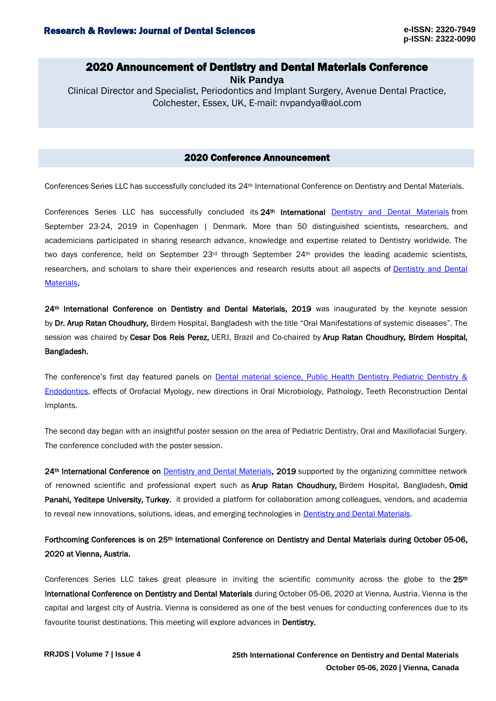## 2020 Announcement of Dentistry and Dental Materials Conference

**Nik Pandya**

Clinical Director and Specialist, Periodontics and Implant Surgery, Avenue Dental Practice, Colchester, Essex, UK, E-mail: nvpandya@aol.com

### 2020 Conference Announcement

Conferences Series LLC has successfully concluded its 24th International Conference on Dentistry and Dental Materials.

Conferences Series LLC has successfully concluded its 24<sup>th</sup> International [Dentistry and Dental Materials](https://dentalmaterials.dentistryconferences.com/) from September 23-24, 2019 in Copenhagen | Denmark. More than 50 distinguished scientists, researchers, and academicians participated in sharing research advance, knowledge and expertise related to Dentistry worldwide. The two days conference, held on September 23<sup>rd</sup> through September 24<sup>th</sup> provides the leading academic scientists, researchers, and scholars to share their experiences and research results about all aspects of [Dentistry and Dental](https://dentalmaterials.dentistryconferences.com/)  [Materials.](https://dentalmaterials.dentistryconferences.com/)

24<sup>th</sup> International Conference on Dentistry and Dental Materials, 2019 was inaugurated by the keynote session by Dr. Arup Ratan Choudhury, Birdem Hospital, Bangladesh with the title "Oral Manifestations of systemic diseases". The session was chaired by Cesar Dos Reis Perez, UERJ, Brazil and Co-chaired by Arup Ratan Choudhury, Birdem Hospital, Bangladesh.

The conference's first day featured panels on Dental material science, Public Health Dentistry Pediatric Dentistry & [Endodontics,](https://dentists.dentistryconferences.com/) effects of Orofacial Myology, new directions in Oral Microbiology, Pathology, Teeth Reconstruction Dental Implants.

The second day began with an insightful poster session on the area of Pediatric Dentistry, Oral and Maxillofacial Surgery. The conference concluded with the poster session.

24<sup>th</sup> International Conference on **Dentistry and Dental Materials**, 2019 supported by the organizing committee network of renowned scientific and professional expert such as Arup Ratan Choudhury, Birdem Hospital, Bangladesh, Omid Panahi, Yeditepe University, Turkey, it provided a platform for collaboration among colleagues, vendors, and academia to reveal new innovations, solutions, ideas, and emerging technologies in **Dentistry and Dental Materials**.

# Forthcoming Conferences is on 25<sup>th</sup> International Conference on Dentistry and Dental Materials during October 05-06, 2020 at Vienna, Austria.

Conferences Series LLC takes great pleasure in inviting the scientific community across the globe to the 25<sup>th</sup> International Conference on Dentistry and Dental Materials during October 05-06, 2020 at Vienna, Austria. Vienna is the capital and largest city of Austria. Vienna is considered as one of the best venues for conducting conferences due to its favourite tourist destinations. This meeting will explore advances in Dentistry.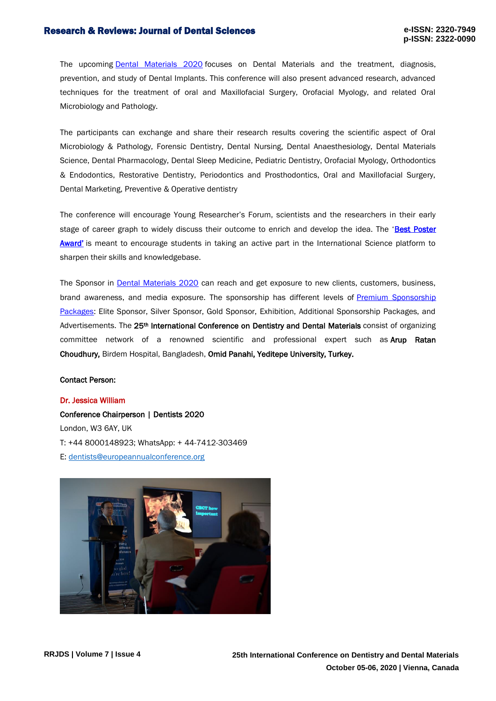#### Research & Reviews: Journal of Dental Sciences

The upcoming **Dental Materials 2020** focuses on Dental Materials and the treatment, diagnosis, prevention, and study of Dental Implants. This conference will also present advanced research, advanced techniques for the treatment of oral and Maxillofacial Surgery, Orofacial Myology, and related Oral Microbiology and Pathology.

The participants can exchange and share their research results covering the scientific aspect of Oral Microbiology & Pathology, Forensic Dentistry, Dental Nursing, Dental Anaesthesiology, Dental Materials Science, Dental Pharmacology, Dental Sleep Medicine, Pediatric Dentistry, Orofacial Myology, Orthodontics & Endodontics, Restorative Dentistry, Periodontics and Prosthodontics, Oral and Maxillofacial Surgery, Dental Marketing, Preventive & Operative dentistry

The conference will encourage Young Researcher's Forum, scientists and the researchers in their early stage of career graph to widely discuss their outcome to enrich and develop the idea. The 'Best Poster [Award'](https://childhood-obesity.insightconferences.com/poster-presentation.php) is meant to encourage students in taking an active part in the International Science platform to sharpen their skills and knowledgebase.

The Sponsor in [Dental Materials 2020](https://dentalmaterials.dentistryconferences.com/) can reach and get exposure to new clients, customers, business, brand awareness, and media exposure. The sponsorship has different levels of [Premium Sponsorship](https://childhood-obesity.insightconferences.com/sponsors.php)  [Packages:](https://childhood-obesity.insightconferences.com/sponsors.php) Elite Sponsor, Silver Sponsor, Gold Sponsor, Exhibition, Additional Sponsorship Packages, and Advertisements. The 25<sup>th</sup> International Conference on Dentistry and Dental Materials consist of organizing committee network of a renowned scientific and professional expert such as **Arup Ratan** Choudhury, Birdem Hospital, Bangladesh, Omid Panahi, Yeditepe University, Turkey.

### Contact Person:

#### Dr. Jessica William

Conference Chairperson | Dentists 2020 London, W3 6AY, UK T: +44 8000148923; WhatsApp: + 44-7412-303469 E: [dentists@europeannualconference.org](mailto:dentists@europeannualconference.org)